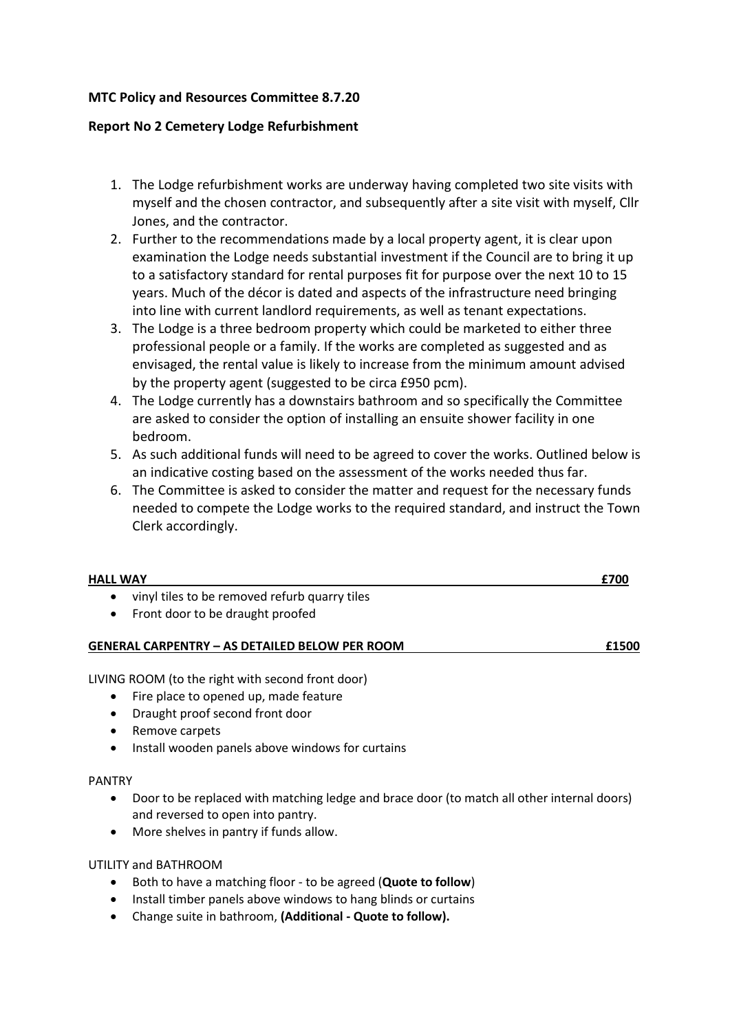# **MTC Policy and Resources Committee 8.7.20**

# **Report No 2 Cemetery Lodge Refurbishment**

- 1. The Lodge refurbishment works are underway having completed two site visits with myself and the chosen contractor, and subsequently after a site visit with myself, Cllr Jones, and the contractor.
- 2. Further to the recommendations made by a local property agent, it is clear upon examination the Lodge needs substantial investment if the Council are to bring it up to a satisfactory standard for rental purposes fit for purpose over the next 10 to 15 years. Much of the décor is dated and aspects of the infrastructure need bringing into line with current landlord requirements, as well as tenant expectations.
- 3. The Lodge is a three bedroom property which could be marketed to either three professional people or a family. If the works are completed as suggested and as envisaged, the rental value is likely to increase from the minimum amount advised by the property agent (suggested to be circa £950 pcm).
- 4. The Lodge currently has a downstairs bathroom and so specifically the Committee are asked to consider the option of installing an ensuite shower facility in one bedroom.
- 5. As such additional funds will need to be agreed to cover the works. Outlined below is an indicative costing based on the assessment of the works needed thus far.
- 6. The Committee is asked to consider the matter and request for the necessary funds needed to compete the Lodge works to the required standard, and instruct the Town Clerk accordingly.

| <b>HALL WAY</b>                                                                                | £700 |
|------------------------------------------------------------------------------------------------|------|
| vinyl tiles to be removed refurb quarry tiles<br>Front door to be draught proofed<br>$\bullet$ |      |

# **GENERAL CARPENTRY – AS DETAILED BELOW PER ROOM £1500**

LIVING ROOM (to the right with second front door)

- Fire place to opened up, made feature
- Draught proof second front door
- Remove carpets
- Install wooden panels above windows for curtains

### PANTRY

- Door to be replaced with matching ledge and brace door (to match all other internal doors) and reversed to open into pantry.
- More shelves in pantry if funds allow.

## UTILITY and BATHROOM

- Both to have a matching floor to be agreed (**Quote to follow**)
- Install timber panels above windows to hang blinds or curtains
- Change suite in bathroom, **(Additional - Quote to follow).**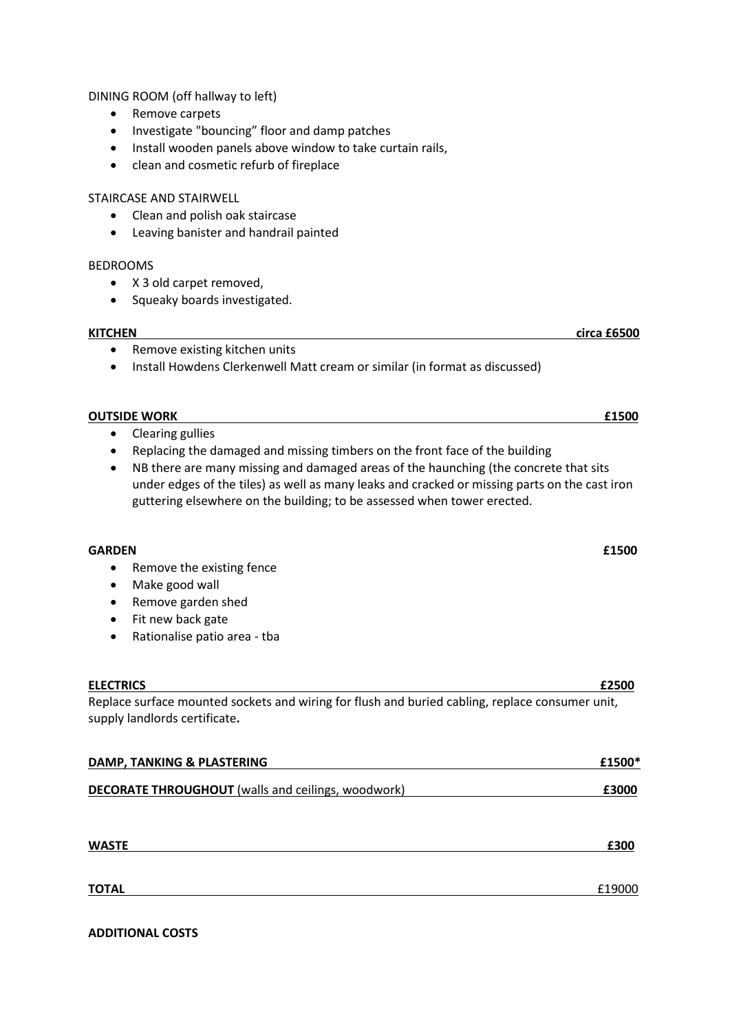DINING ROOM (off hallway to left)

- Remove carpets
- Investigate "bouncing" floor and damp patches
- Install wooden panels above window to take curtain rails,
- clean and cosmetic refurb of fireplace

### STAIRCASE AND STAIRWELL

- Clean and polish oak staircase
- Leaving banister and handrail painted

#### BEDROOMS

- X 3 old carpet removed,
- Squeaky boards investigated.

### **KITCHEN circa £6500**

- Remove existing kitchen units
- Install Howdens Clerkenwell Matt cream or similar (in format as discussed)

#### **OUTSIDE WORK E1500**

- Clearing gullies
- Replacing the damaged and missing timbers on the front face of the building
- NB there are many missing and damaged areas of the haunching (the concrete that sits under edges of the tiles) as well as many leaks and cracked or missing parts on the cast iron guttering elsewhere on the building; to be assessed when tower erected.

### **GARDEN £1500**

- Remove the existing fence
- Make good wall
- Remove garden shed
- Fit new back gate
- Rationalise patio area tba

### **ELECTRICS £2500**

Replace surface mounted sockets and wiring for flush and buried cabling, replace consumer unit, supply landlords certificate**.** 

| DAMP, TANKING & PLASTERING                                | £1500* |
|-----------------------------------------------------------|--------|
| <b>DECORATE THROUGHOUT</b> (walls and ceilings, woodwork) | £3000  |
|                                                           |        |

| <b>WASTE</b> | ----<br>. . |
|--------------|-------------|
|              |             |

# **TOTAL** £19000

# **ADDITIONAL COSTS**